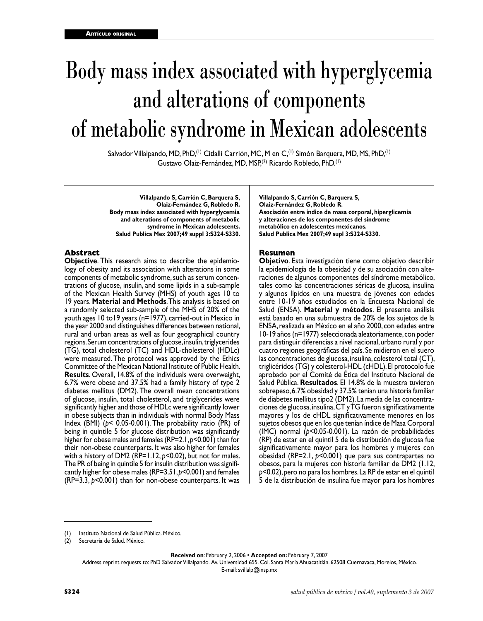# Body mass index associated with hyperglycemia and alterations of components of metabolic syndrome in Mexican adolescents

Salvador Villalpando, MD, PhD,<sup>(1)</sup> Citlalli Carrión, MC, M en C,<sup>(1)</sup> Simón Barquera, MD, MS, PhD,<sup>(1)</sup> Gustavo Olaiz-Fernández, MD, MSP,(2) Ricardo Robledo, PhD.(1)

**Villalpando S, Carrión C, Barquera S, Olaiz-Fernández G, Robledo R. Body mass index associated with hyperglycemia and alterations of components of metabolic syndrome in Mexican adolescents. Salud Publica Mex 2007;49 suppl 3:S324-S330.**

#### **Abstract**

**Objective**. This research aims to describe the epidemiology of obesity and its association with alterations in some components of metabolic syndrome, such as serum concentrations of glucose, insulin, and some lipids in a sub-sample of the Mexican Health Survey (MHS) of youth ages 10 to 19 years. **Material and Methods**. This analysis is based on a randomly selected sub-sample of the MHS of 20% of the youth ages 10 to19 years (n=1977), carried-out in Mexico in the year 2000 and distinguishes differences between national, rural and urban areas as well as four geographical country regions. Serum concentrations of glucose, insulin, triglycerides (TG), total cholesterol (TC) and HDL-cholesterol (HDLc) were measured. The protocol was approved by the Ethics Committee of the Mexican National Institute of Public Health. **Results**. Overall, 14.8% of the individuals were overweight, 6.7% were obese and 37.5% had a family history of type 2 diabetes mellitus (DM2). The overall mean concentrations of glucose, insulin, total cholesterol, and triglycerides were significantly higher and those of HDLc were significantly lower in obese subjects than in individuals with normal Body Mass Index (BMI) (*p*< 0.05-0.001). The probability ratio (PR) of being in quintile 5 for glucose distribution was significantly higher for obese males and females (RP=2.1, *p*<0.001) than for their non-obese counterparts. It was also higher for females with a history of DM2 (RP=1.12, *p*<0.02), but not for males. The PR of being in quintile 5 for insulin distribution was significantly higher for obese males (RP=3.51, *p*<0.001) and females (RP=3.3, *p*<0.001) than for non-obese counterparts. It was

**Villalpando S, Carrión C, Barquera S, Olaiz-Fernández G, Robledo R. Asociación entre índice de masa corporal, hiperglicemia y alteraciones de los componentes del síndrome metabólico en adolescentes mexicanos. Salud Publica Mex 2007;49 supl 3:S324-S330.**

#### **Resumen**

**Objetivo**. Esta investigación tiene como objetivo describir la epidemiología de la obesidad y de su asociación con alteraciones de algunos componentes del síndrome metabólico, tales como las concentraciones séricas de glucosa, insulina y algunos lípidos en una muestra de jóvenes con edades entre 10-19 años estudiados en la Encuesta Nacional de Salud (ENSA). **Material y métodos**. El presente análisis está basado en una submuestra de 20% de los sujetos de la ENSA, realizada en México en el año 2000, con edades entre 10-19 años (n=1977) seleccionada aleatoriamente, con poder para distinguir diferencias a nivel nacional, urbano rural y por cuatro regiones geográficas del país. Se midieron en el suero las concentraciones de glucosa, insulina, colesterol total (CT), triglicéridos (TG) y colesterol-HDL (cHDL). El protocolo fue aprobado por el Comité de Ética del Instituto Nacional de Salud Pública. **Resultados**. El 14.8% de la muestra tuvieron sobrepeso, 6.7% obesidad y 37.5% tenían una historia familiar de diabetes mellitus tipo2 (DM2). La media de las concentra ciones de glucosa, insulina, CT y TG fueron significativamente mayores y los de cHDL significativamente menores en los sujetos obesos que en los que tenían índice de Masa Corporal (IMC) normal (*p*<0.05-0.001). La razón de probabilidades (RP) de estar en el quintil 5 de la distribución de glucosa fue significativamente mayor para los hombres y mujeres con obesidad (RP=2.1, *p*<0.001) que para sus contrapartes no obesos, para la mujeres con historia familiar de DM2 (1.12, *p*<0.02), pero no para los hombres. La RP de estar en el quintil 5 de la distribución de insulina fue mayor para los hombres

**Received on**: February 2, 2006 • **Accepted on:** February 7, 2007

Address reprint requests to: PhD Salvador Villalpando. Av. Universidad 655. Col. Santa María Ahuacatitlán. 62508 Cuernavaca, Morelos, México. E-mail: svillalp@insp.mx

<sup>(1)</sup> Instituto Nacional de Salud Pública. México.

<sup>(2)</sup> Secretaría de Salud. México.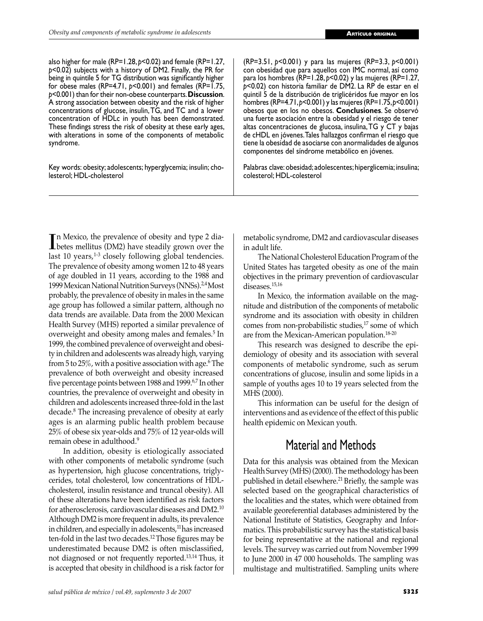also higher for male (RP=1.28, *p*<0.02) and female (RP=1.27, *p*<0.02) subjects with a history of DM2. Finally, the PR for being in quintile 5 for TG distribution was significantly higher for obese males (RP=4.71, *p*<0.001) and females (RP=1.75, *p*<0.001) than for their non-obese counterparts. **Discussion**. A strong association between obesity and the risk of higher concentrations of glucose, insulin, TG, and TC and a lower concentration of HDLc in youth has been demonstrated. These findings stress the risk of obesity at these early ages, with alterations in some of the components of metabolic syndrome.

Key words: obesity; adolescents; hyperglycemia; insulin; cholesterol; HDL-cholesterol

(RP=3.51, *p*<0.001) y para las mujeres (RP=3.3, *p*<0.001) con obesidad que para aquellos con IMC normal, así como para los hombres (RP=1.28, *p*<0.02) y las mujeres (RP=1.27, *p*<0.02) con historia familiar de DM2. La RP de estar en el quintil 5 de la distribución de triglicéridos fue mayor en los hombres (RP=4.71, *p*<0.001) y las mujeres (RP=1.75, *p*<0.001) obesos que en los no obesos. **Conclusiones**. Se observó una fuerte asociación entre la obesidad y el riesgo de tener altas concentraciones de glucosa, insulina, TG y CT y bajas de cHDL en jóvenes. Tales hallazgos confirman el riesgo que tiene la obesidad de asociarse con anormalidades de algunos componentes del síndrome metabólico en jóvenes.

Palabras clave: obesidad; adolescentes; hiperglicemia; insulina; colesterol; HDL-colesterol

In Mexico, the prevalence of obesity and type 2 dia-<br>Libetes mellitus (DM2) have steadily grown over the betes mellitus (DM2) have steadily grown over the last 10 years, $1-3$  closely following global tendencies. The prevalence of obesity among women 12 to 48 years of age doubled in 11 years, according to the 1988 and 1999 Mexican National Nutrition Surveys (NNSs).2,4 Most probably, the prevalence of obesity in males in the same age group has followed a similar pattern, although no data trends are available. Data from the 2000 Mexican Health Survey (MHS) reported a similar prevalence of overweight and obesity among males and females.<sup>5</sup> In 1999, the combined prevalence of overweight and obesity in children and adolescents was already high, varying from 5 to 25%, with a positive association with age.6 The prevalence of both overweight and obesity increased five percentage points between 1988 and 1999.<sup>6,7</sup> In other countries, the prevalence of overweight and obesity in children and adolescents increased three-fold in the last decade.8 The increasing prevalence of obesity at early ages is an alarming public health problem because 25% of obese six year-olds and 75% of 12 year-olds will remain obese in adulthood.<sup>9</sup>

 In addition, obesity is etiologically associated with other components of metabolic syndrome (such as hypertension, high glucose concentrations, triglycerides, total cholesterol, low concentrations of HDLcholesterol, insulin resistance and truncal obesity). All of these alterations have been identified as risk factors for atherosclerosis, cardiovascular diseases and DM2.<sup>10</sup> Although DM2 is more frequent in adults, its prevalence in children, and especially in adolescents, $11$  has increased ten-fold in the last two decades.12 Those figures may be underestimated because DM2 is often misclassified, not diagnosed or not frequently reported.13,14 Thus, it is accepted that obesity in childhood is a risk factor for metabolic syndrome, DM2 and cardiovascular diseases in adult life.

 The National Cholesterol Education Program of the United States has targeted obesity as one of the main objectives in the primary prevention of cardiovascular diseases.15,16

 In Mexico, the information available on the magnitude and distribution of the components of metabolic syndrome and its association with obesity in children comes from non-probabilistic studies,<sup>17</sup> some of which are from the Mexican-American population.18-20

 This research was designed to describe the epidemiology of obesity and its association with several components of metabolic syndrome, such as serum concentrations of glucose, insulin and some lipids in a sample of youths ages 10 to 19 years selected from the MHS (2000).

 This information can be useful for the design of interventions and as evidence of the effect of this public health epidemic on Mexican youth.

# Material and Methods

Data for this analysis was obtained from the Mexican Health Survey (MHS) (2000). The methodology has been published in detail elsewhere.<sup>21</sup> Briefly, the sample was selected based on the geographical characteristics of the localities and the states, which were obtained from available georeferential databases administered by the National Institute of Statistics, Geography and Informatics. This probabilistic survey has the statistical basis for being representative at the national and regional levels. The survey was carried out from November 1999 to June 2000 in 47 000 households. The sampling was multistage and multistratified. Sampling units where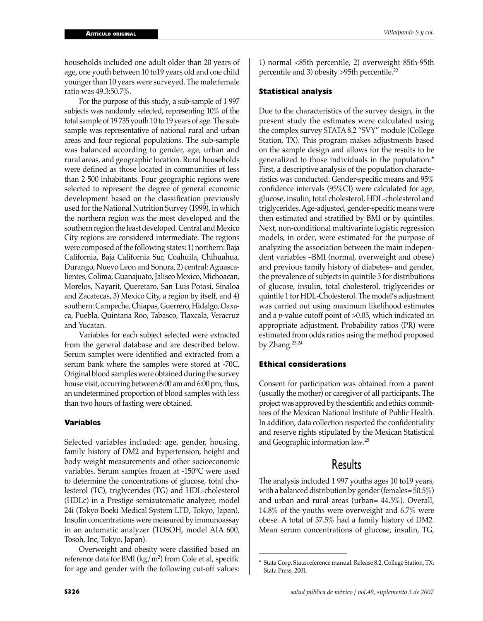households included one adult older than 20 years of age, one youth between 10 to19 years old and one child younger than 10 years were surveyed. The male:female ratio was 49.3:50.7%.

 For the purpose of this study, a sub-sample of 1 997 subjects was randomly selected, representing 10% of the total sample of 19 735 youth 10 to 19 years of age. The subsample was representative of national rural and urban areas and four regional populations. The sub-sample was balanced according to gender, age, urban and rural areas, and geographic location. Rural households were defined as those located in communities of less than 2 500 inhabitants. Four geographic regions were selected to represent the degree of general economic development based on the classification previously used for the National Nutrition Survey (1999), in which the northern region was the most developed and the southern region the least developed. Central and Mexico City regions are considered intermediate. The regions were composed of the following states: 1) northern: Baja California, Baja California Sur, Coahuila, Chihuahua, Durango, Nuevo Leon and Sonora, 2) central: Aguascalientes, Colima, Guanajuato, Jalisco Mexico, Michoacan, Morelos, Nayarit, Queretaro, San Luis Potosi, Sinaloa and Zacatecas, 3) Mexico City, a region by itself, and 4) southern: Campeche, Chiapas, Guerrero, Hidalgo, Oaxaca, Puebla, Quintana Roo, Tabasco, Tlaxcala, Veracruz and Yucatan.

 Variables for each subject selected were extracted from the general database and are described below. Serum samples were identified and extracted from a serum bank where the samples were stored at -70C. Original blood samples were obtained during the survey house visit, occurring between 8:00 am and 6:00 pm, thus, an undetermined proportion of blood samples with less than two hours of fasting were obtained.

#### **Variables**

Selected variables included: age, gender, housing, family history of DM2 and hypertension, height and body weight measurements and other socioeconomic variables. Serum samples frozen at -150°C were used to determine the concentrations of glucose, total cholesterol (TC), triglycerides (TG) and HDL-cholesterol (HDLc) in a Prestige semiautomatic analyzer, model 24i (Tokyo Boeki Medical System LTD, Tokyo, Japan). Insulin concentrations were measured by immunoassay in an automatic analyzer (TOSOH, model AIA 600, Tosoh, Inc, Tokyo, Japan).

 Overweight and obesity were classified based on reference data for BMI (kg/m<sup>2</sup>) from Cole et al, specific for age and gender with the following cut-off values:

1) normal <85th percentile, 2) overweight 85th-95th percentile and 3) obesity >95th percentile.<sup>22</sup>

#### **Statistical analysis**

Due to the characteristics of the survey design, in the present study the estimates were calculated using the complex survey STATA 8.2 "SVY" module (College Station, TX). This program makes adjustments based on the sample design and allows for the results to be generalized to those individuals in the population.\* First, a descriptive analysis of the population characteristics was conducted. Gender-specific means and 95% confidence intervals (95%CI) were calculated for age, glucose, insulin, total cholesterol, HDL-cholesterol and triglycerides. Age-adjusted, gender-specific means were then estimated and stratified by BMI or by quintiles. Next, non-conditional multivariate logistic regression models, in order, were estimated for the purpose of analyzing the association between the main independent variables –BMI (normal, overweight and obese) and previous family history of diabetes– and gender, the prevalence of subjects in quintile 5 for distributions of glucose, insulin, total cholesterol, triglycerides or quintile 1 for HDL-Cholesterol. The model's adjustment was carried out using maximum likelihood estimates and a *p*-value cutoff point of >0.05, which indicated an appropriate adjustment. Probability ratios (PR) were estimated from odds ratios using the method proposed by Zhang.23,24

#### **Ethical considerations**

Consent for participation was obtained from a parent (usually the mother) or caregiver of all participants. The project was approved by the scientific and ethics committees of the Mexican National Institute of Public Health. In addition, data collection respected the confidentiality and reserve rights stipulated by the Mexican Statistical and Geographic information law.25

### Results

The analysis included 1 997 youths ages 10 to19 years, with a balanced distribution by gender (females= 50.5%) and urban and rural areas (urban= 44.5%). Overall, 14.8% of the youths were overweight and 6.7% were obese. A total of 37.5% had a family history of DM2. Mean serum concentrations of glucose, insulin, TG,

Stata Corp. Stata reference manual. Release 8.2. College Station, TX: Stata Press, 2001.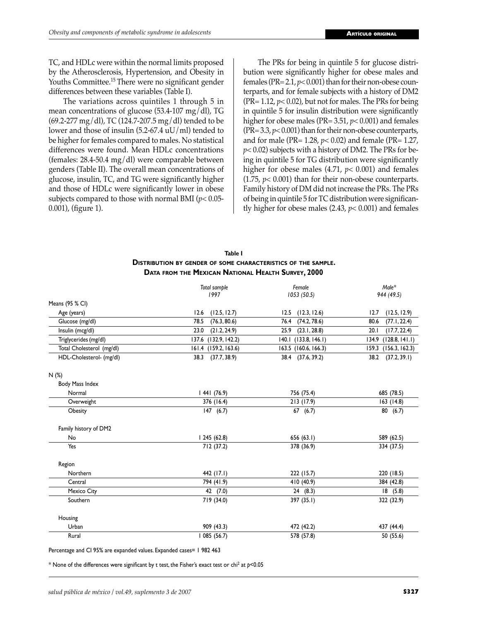TC, and HDLc were within the normal limits proposed by the Atherosclerosis, Hypertension, and Obesity in Youths Committee.15 There were no significant gender differences between these variables (Table I).

 The variations across quintiles 1 through 5 in mean concentrations of glucose (53.4-107 mg/dl), TG (69.2-277 mg/dl), TC (124.7-207.5 mg/dl) tended to be lower and those of insulin  $(5.2-67.4 \text{ uU/ml})$  tended to be higher for females compared to males. No statistical differences were found. Mean HDLc concentrations (females: 28.4-50.4 mg/dl) were comparable between genders (Table II). The overall mean concentrations of glucose, insulin, TC, and TG were significantly higher and those of HDLc were significantly lower in obese subjects compared to those with normal BMI (*p*< 0.05- 0.001), (figure 1).

 The PRs for being in quintile 5 for glucose distribution were significantly higher for obese males and females (PR= 2.1, *p*< 0.001) than for their non-obese counterparts, and for female subjects with a history of DM2 ( $PR = 1.12$ ,  $p < 0.02$ ), but not for males. The PRs for being in quintile 5 for insulin distribution were significantly higher for obese males (PR= 3.51, *p*< 0.001) and females (PR= 3.3, *p*< 0.001) than for their non-obese counterparts, and for male (PR= 1.28, *p*< 0.02) and female (PR= 1.27, *p*< 0.02) subjects with a history of DM2. The PRs for being in quintile 5 for TG distribution were significantly higher for obese males (4.71, *p*< 0.001) and females (1.75, *p*< 0.001) than for their non-obese counterparts. Family history of DM did not increase the PRs. The PRs of being in quintile 5 for TC distribution were significantly higher for obese males  $(2.43, p< 0.001)$  and females

| Table I                                                              |
|----------------------------------------------------------------------|
| <b>DISTRIBUTION BY GENDER OF SOME CHARACTERISTICS OF THE SAMPLE.</b> |
| DATA FROM THE MEXICAN NATIONAL HEALTH SURVEY, 2000                   |

|                           | Total sample            | Female               | $Male^*$                |
|---------------------------|-------------------------|----------------------|-------------------------|
|                           | 1997<br>1053(50.5)      |                      | 944 (49.5)              |
| Means (95 % CI)           |                         |                      |                         |
| Age (years)               | 12.6<br>(12.5, 12.7)    | 12.5<br>(12.3, 12.6) | (12.5, 12.9)<br>12.7    |
| Glucose (mg/dl)           | 78.5<br>(76.3, 80.6)    | 76.4<br>(74.2, 78.6) | (77.1, 22.4)<br>80.6    |
| Insulin (mcg/dl)          | 23.0<br>(21.2, 24.9)    | 25.9<br>(23.1, 28.8) | (17.7, 22.4)<br>20.1    |
| Triglycerides (mg/dl)     | 137.6 (132.9, 142.2)    | 140.1 (133.8, 146.1) | 134.9<br>(128.8, 141.1) |
| Total Cholesterol (mg/dl) | (159.2, 163.6)<br>161.4 | 163.5 (160.6, 166.3) | (156.3, 162.3)<br>159.3 |
| HDL-Cholesterol- (mg/dl)  | (37.7, 38.9)<br>38.3    | 38.4 (37.6, 39.2)    | 38.2<br>(37.2, 39.1)    |
| N(%)                      |                         |                      |                         |
| Body Mass Index           |                         |                      |                         |
| Normal                    | 1441(76.9)              | 756 (75.4)           | 685 (78.5)              |
| Overweight                | 376 (16.4)              | 213(17.9)            | 163(14.8)               |
| Obesity                   | 147(6.7)                | 67(6.7)              | 80(6.7)                 |
| Family history of DM2     |                         |                      |                         |
| No                        | 1245(62.8)              | 656 (63.1)           | 589 (62.5)              |
| Yes                       | 712 (37.2)              | 378 (36.9)           | 334 (37.5)              |
| Region                    |                         |                      |                         |
| Northern                  | 442 (17.1)              | 222 (15.7)           | 220 (18.5)              |
| Central                   | 794 (41.9)              | 410 (40.9)           | 384 (42.8)              |
| Mexico City               | 42 (7.0)                | 24(8.3)              | 18(5.8)                 |
| Southern                  | 719 (34.0)              | 397 (35.1)           | 322 (32.9)              |
| Housing                   |                         |                      |                         |
| Urban                     | 909 (43.3)              | 472 (42.2)           | 437 (44.4)              |
| Rural                     | 085 (56.7)              | 578 (57.8)           | 50 (55.6)               |

Percentage and CI 95% are expanded values. Expanded cases= 1 982 463

 $^*$  None of the differences were significant by t test, the Fisher's exact test or chi $^2$  at  $p<$  0.05  $\,$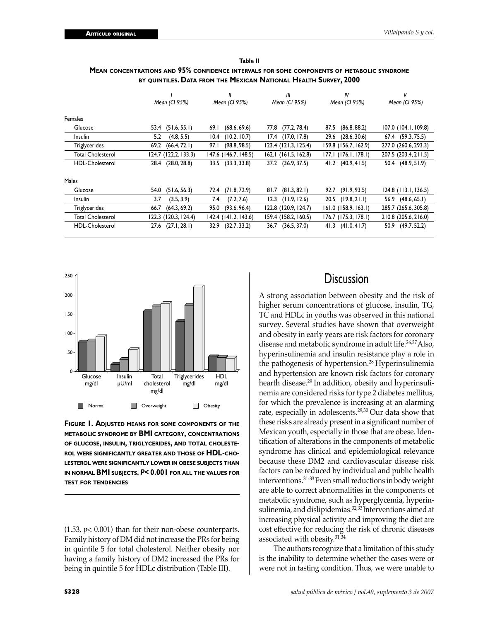| MEAN CONCENTRATIONS AND 95% CONFIDENCE INTERVALS FOR SOME COMPONENTS OF METABOLIC SYNDROME |  |
|--------------------------------------------------------------------------------------------|--|
| by ouintiles <b>. D</b> ata from the Mexican National Health Survey, 2000                  |  |

**Table II**

|                          |                       |                       | Ш                     | IV                   |                      |
|--------------------------|-----------------------|-----------------------|-----------------------|----------------------|----------------------|
|                          | Mean (CI 95%)         | Mean (CI 95%)         | Mean (CI 95%)         | Mean (CI 95%)        | Mean (CI 95%)        |
| Females                  |                       |                       |                       |                      |                      |
| Glucose                  | $53.4$ $(51.6, 55.1)$ | (68.6, 69.6)<br>69. I | (77.2, 78.4)<br>77.8  | (86.8, 88.2)<br>87.5 | 107.0 (104.1, 109.8) |
| <b>Insulin</b>           | (4.8, 5.5)<br>5.2     | (10.2, 10.7)<br>10.4  | $17.4$ $(17.0, 17.8)$ | (28.6, 30.6)<br>29.6 | 67.4 (59.3, 75.5)    |
| Triglycerides            | (66.4, 72.1)<br>69.2  | (98.8, 98.5)<br>97.I  | 123.4 (121.3, 125.4)  | 159.8 (156.7, 162.9) | 277.0 (260.6, 293.3) |
| <b>Total Cholesterol</b> | 124.7 (122.2, 133.3)  | 147.6 (146.7, 148.5)  | 162.1 (161.5, 162.8)  | 177.1 (176.1, 178.1) | 207.5 (203.4, 211.5) |
| <b>HDL-Cholesterol</b>   | 28.4 (28.0, 28.8)     | 33.5 (33.3, 33.8)     | 37.2 (36.9, 37.5)     | 41.2 (40.9, 41.5)    | 50.4 (48.9, 51.9)    |
| Males                    |                       |                       |                       |                      |                      |
| Glucose                  | 54.0<br>(51.6, 56.3)  | (71.8, 72.9)<br>72.4  | (81.3, 82.1)<br>81.7  | (91.9, 93.5)<br>92.7 | 124.8 (113.1, 136.5) |
| <b>Insulin</b>           | (3.5, 3.9)<br>3.7     | (7.2, 7.6)<br>7.4     | (11.9, 12.6)<br>12.3  | (19.8, 21.1)<br>20.5 | 56.9 (48.6, 65.1)    |
| <b>Triglycerides</b>     | (64.3, 69.2)<br>66.7  | (93.6, 96.4)<br>95.0  | 122.8 (120.9, 124.7)  | 161.0 (158.9, 163.1) | 285.7 (265.6, 305.8) |
| <b>Total Cholesterol</b> | 122.3 (120.3, 124.4)  | 142.4 (141.2, 143.6)  | 159.4 (158.2, 160.5)  | 176.7 (175.3, 178.1) | 210.8 (205.6, 216.0) |
| HDL-Cholesterol          | (27.1, 28.1)<br>27.6  | (32.7, 33.2)<br>32.9  | (36.5, 37.0)<br>36.7  | (41.0, 41.7)<br>41.3 | (49.7, 52.2)<br>50.9 |



**FIGURE 1. ADJUSTED MEANS FOR SOME COMPONENTS OF THE METABOLIC SYNDROME BY BMI CATEGORY, CONCENTRATIONS OF GLUCOSE, INSULIN, TRIGLYCERIDES, AND TOTAL CHOLESTE-ROL WERE SIGNIFICANTLY GREATER AND THOSE OF HDL-CHO-LESTEROL WERE SIGNIFICANTLY LOWER IN OBESE SUBJECTS THAN IN NORMAL BMI SUBJECTS.** *P***< 0.001 FOR ALL THE VALUES FOR TEST FOR TENDENCIES**

(1.53, *p*< 0.001) than for their non-obese counterparts. Family history of DM did not increase the PRs for being in quintile 5 for total cholesterol. Neither obesity nor having a family history of DM2 increased the PRs for being in quintile 5 for HDLc distribution (Table III).

## **Discussion**

A strong association between obesity and the risk of higher serum concentrations of glucose, insulin, TG, TC and HDLc in youths was observed in this national survey. Several studies have shown that overweight and obesity in early years are risk factors for coronary disease and metabolic syndrome in adult life.<sup>26,27</sup> Also, hyperinsulinemia and insulin resistance play a role in the pathogenesis of hypertension.28 Hyperinsulinemia and hypertension are known risk factors for coronary hearth disease.<sup>29</sup> In addition, obesity and hyperinsulinemia are considered risks for type 2 diabetes mellitus, for which the prevalence is increasing at an alarming rate, especially in adolescents.29,30 Our data show that these risks are already present in a significant number of Mexican youth, especially in those that are obese. Identification of alterations in the components of metabolic syndrome has clinical and epidemiological relevance because these DM2 and cardiovascular disease risk factors can be reduced by individual and public health interventions.31-33 Even small reductions in body weight are able to correct abnormalities in the components of metabolic syndrome, such as hyperglycemia, hyperinsulinemia, and dislipidemias.<sup>32,33</sup> Interventions aimed at increasing physical activity and improving the diet are cost effective for reducing the risk of chronic diseases associated with obesity.31,34

 The authors recognize that a limitation of this study is the inability to determine whether the cases were or were not in fasting condition. Thus, we were unable to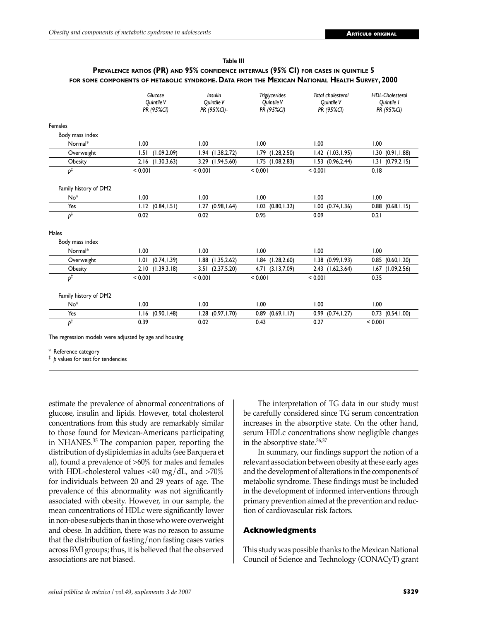| Table III                                                                                                |
|----------------------------------------------------------------------------------------------------------|
| PREVALENCE RATIOS (PR) AND 95% CONFIDENCE INTERVALS (95% CI) FOR CASES IN QUINTILE 5                     |
| for some components of metabolic syndrome <b>. D</b> ata from the Mexican National Health Survey, 2000 f |

|                                                                                | Glucose<br>Quintile V<br>PR (95%CI) | <b>Insulin</b><br>Quintile V<br>PR (95%CI)- | <b>Triglycerides</b><br>Quintile V<br>PR (95%CI) | <b>Total cholesterol</b><br>Ouintile V<br>PR (95%CI) | <b>HDL-Cholesterol</b><br>Ouintile I<br>PR (95%CI) |
|--------------------------------------------------------------------------------|-------------------------------------|---------------------------------------------|--------------------------------------------------|------------------------------------------------------|----------------------------------------------------|
| Females                                                                        |                                     |                                             |                                                  |                                                      |                                                    |
| Body mass index                                                                |                                     |                                             |                                                  |                                                      |                                                    |
| Normal*                                                                        | 1.00                                | 1.00                                        | 1.00                                             | 1.00                                                 | 1.00                                               |
| Overweight                                                                     | (1.09, 2.09)<br>1.51                | $1.94$ $(1.38, 2.72)$                       | $1.79$ $(1.28, 2.50)$                            | $1.42$ $(1.03, 1.95)$                                | 1.30(0.91, 1.88)                                   |
| Obesity                                                                        | (1.30, 3.63)<br>2.16                | 3.29 (1.94,5.60)                            | $1.75$ $(1.08, 2.83)$                            | $1.53$ $(0.96, 2.44)$                                | (0.79, 2.15)<br>1.31                               |
| $p^{\ddagger}$                                                                 | < 0.001                             | < 0.001                                     | < 0.001                                          | < 0.001                                              | 0.18                                               |
| Family history of DM2                                                          |                                     |                                             |                                                  |                                                      |                                                    |
| No <sup>*</sup>                                                                | 1.00                                | 1.00                                        | 1.00                                             | 1.00                                                 | 1.00                                               |
| Yes                                                                            | (0.84, 1.51)<br>1.12                | 1.27<br>(0.98, 1.64)                        | (0.80, 1.32)<br>1.03                             | (0.74, 1.36)<br>1.00                                 | $0.88$ $(0.68, 1.15)$                              |
| $\overline{p^{\ddagger}}$                                                      | 0.02                                | 0.02                                        | 0.95                                             | 0.09                                                 | 0.21                                               |
| Males                                                                          |                                     |                                             |                                                  |                                                      |                                                    |
| Body mass index                                                                |                                     |                                             |                                                  |                                                      |                                                    |
| Normal*                                                                        | 1.00                                | 1.00                                        | 1.00                                             | 1.00                                                 | 1.00                                               |
| Overweight                                                                     | (0.74, 1.39)<br>1.01                | $1.88$ $(1.35, 2.62)$                       | $1.84$ $(1.28, 2.60)$                            | $1.38$ $(0.99, 1.93)$                                | $0.85$ $(0.60, 1.20)$                              |
| Obesity                                                                        | (1.39, 3.18)<br>2.10                | 3.51 (2.37,5.20)                            | 4.71<br>(3.13,7.09)                              | 2.43 (1.62,3.64)                                     | 1.67<br>(1.09, 2.56)                               |
| $p^{\ddagger}$                                                                 | < 0.001                             | < 0.001                                     | < 0.001                                          | < 0.001                                              | 0.35                                               |
| Family history of DM2                                                          |                                     |                                             |                                                  |                                                      |                                                    |
| No*                                                                            | 1.00                                | 1.00                                        | 1.00                                             | 1.00                                                 | 1.00                                               |
| Yes                                                                            | (0.90, 1.48)<br>1.16                | $1.28$ $(0.97, 1.70)$                       | (0.69, 1.17)<br>0.89                             | 0.99<br>(0.74, 1.27)                                 | 0.73 (0.54,1.00)                                   |
| $\overline{p^{\ddagger}}$                                                      | 0.39                                | 0.02                                        | 0.43                                             | 0.27                                                 | < 0.001                                            |
| The regression models were adjusted by age and housing<br>* Reference category |                                     |                                             |                                                  |                                                      |                                                    |

‡ *p* values for test for tendencies

estimate the prevalence of abnormal concentrations of glucose, insulin and lipids. However, total cholesterol concentrations from this study are remarkably similar to those found for Mexican-Americans participating in NHANES.35 The companion paper, reporting the distribution of dyslipidemias in adults (see Barquera et al), found a prevalence of >60% for males and females with HDL-cholesterol values  $\langle 40 \text{ mg}/\text{dL}$ , and  $\langle 70\% \rangle$ for individuals between 20 and 29 years of age. The prevalence of this abnormality was not significantly associated with obesity. However, in our sample, the mean concentrations of HDLc were significantly lower in non-obese subjects than in those who were overweight and obese. In addition, there was no reason to assume that the distribution of fasting/non fasting cases varies across BMI groups; thus, it is believed that the observed associations are not biased.

 The interpretation of TG data in our study must be carefully considered since TG serum concentration increases in the absorptive state. On the other hand, serum HDLc concentrations show negligible changes in the absorptive state.36,37

 In summary, our findings support the notion of a relevant association between obesity at these early ages and the development of alterations in the components of metabolic syndrome. These findings must be included in the development of informed interventions through primary prevention aimed at the prevention and reduction of cardiovascular risk factors.

#### **Acknowledgments**

This study was possible thanks to the Mexican National Council of Science and Technology (CONACyT) grant